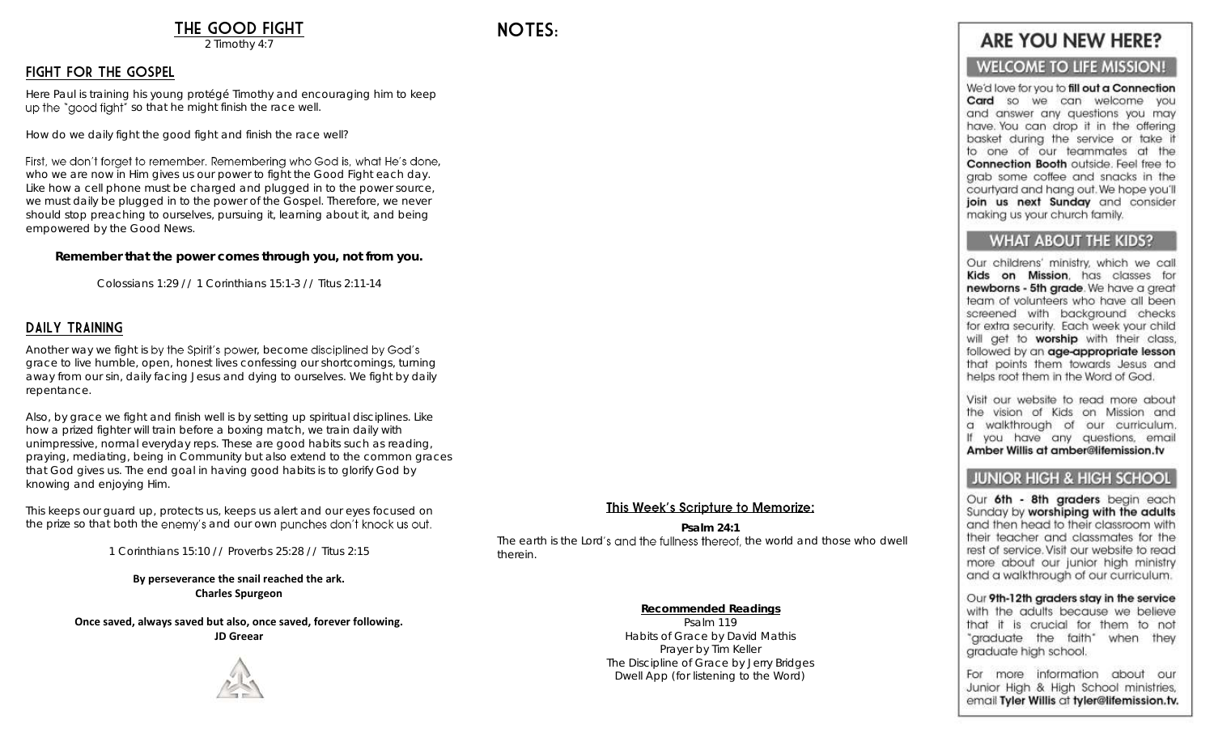# The Good Fight

2 Timothy 4:7

#### FIGHT FOR THE GOSPEL

Here Paul is training his young protégé Timothy and encouraging him to keep up the "good fight" so that he might finish the race well.

How do we daily fight the good fight and finish the race well?

First, we don't forget to remember. Remembering who God is, what He's done, who we are now in Him gives us our power to fight the Good Fight each day. Like how a cell phone must be charged and plugged in to the power source, we must daily be plugged in to the power of the Gospel. Therefore, we never should stop preaching to ourselves, pursuing it, learning about it, and being empowered by the Good News.

Remember that the power comes through you, not from you.

Colossians 1:29 // 1 Corinthians 15:1-3 // Titus 2:11-14

#### DAILY TRAINING

Another way we fight is by the Spirit's power, become disciplined by God's grace to live humble, open, honest lives confessing our shortcomings, turning away from our sin, daily facing Jesus and dying to ourselves. We fight by daily repentance.

Also, by grace we fight and finish well is by setting up spiritual disciplines. Like how a prized fighter will train before a boxing match, we train daily with unimpressive, normal everyday reps. These are good habits such as reading, praying, mediating, being in Community but also extend to the common graces that God gives us. The end goal in having good habits is to glorify God by knowing and enjoying Him.

This keeps our guard up, protects us, keeps us alert and our eyes focused on the prize so that both the enemy's and our own punches don't knock us out.

1 Corinthians 15:10 // Proverbs 25:28 // Titus 2:15

**By perseverance the snail reached the ark. Charles Spurgeon**

**Once saved, always saved but also, once saved, forever following. JD Greear**



## This Week's Scripture to Memorize:

Psalm 24:1 The earth is the Lord's and the fullness thereof, the world and those who dwell therein.

> Recommended Readings Psalm 119 Habits of Grace by David Mathis Prayer by Tim Keller The Discipline of Grace by Jerry Bridges Dwell App (for listening to the Word)

# ARE YOU NEW HERE?

#### **WELCOME TO LIFE MISSION!**

We'd love for you to fill out a Connection Card so we can welcome you and answer any questions you may have. You can drop it in the offering basket during the service or take it to one of our teammates at the Connection Booth outside. Feel free to grab some coffee and snacks in the courtyard and hang out. We hope you'll join us next Sunday and consider making us your church family.

#### **WHAT ABOUT THE KIDS?**

Our childrens' ministry, which we call Kids on Mission, has classes for newborns - 5th grade. We have a great team of volunteers who have all been screened with background checks for extra security. Each week your child will get to worship with their class, followed by an age-appropriate lesson that points them towards Jesus and helps root them in the Word of God.

Visit our website to read more about the vision of Kids on Mission and a walkthrough of our curriculum. If you have any questions, email Amber Willis at amber@lifemission.tv

#### JUNIOR HIGH & HIGH SCHOOL

Our 6th - 8th araders beain each Sunday by worshiping with the adults and then head to their classroom with their teacher and classmates for the rest of service. Visit our website to read more about our junior high ministry and a walkthrough of our curriculum.

Our 9th-12th graders stay in the service with the adults because we believe that it is crucial for them to not "graduate the faith" when they graduate high school.

For more information about our Junior High & High School ministries, email Tyler Willis at tyler@lifemission.tv.

Notes: